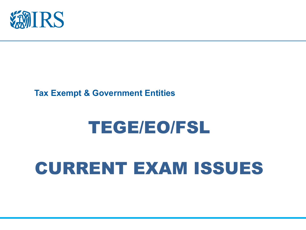

#### **Tax Exempt & Government Entities**

### TEGE/EO/FSL

### CURRENT EXAM ISSUES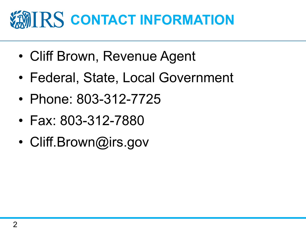### **CONTACT INFORMATION**

- Cliff Brown, Revenue Agent
- Federal, State, Local Government
- Phone: 803-312-7725
- Fax: 803-312-7880
- Cliff.Brown@irs.gov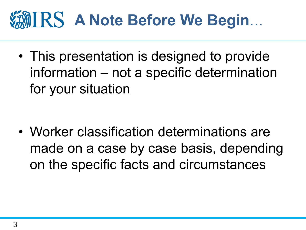# **MIRS A Note Before We Begin...**

• This presentation is designed to provide information – not a specific determination for your situation

• Worker classification determinations are made on a case by case basis, depending on the specific facts and circumstances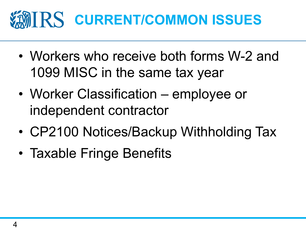# **MIRS CURRENT/COMMON ISSUES**

- Workers who receive both forms W-2 and 1099 MISC in the same tax year
- Worker Classification employee or independent contractor
- CP2100 Notices/Backup Withholding Tax
- Taxable Fringe Benefits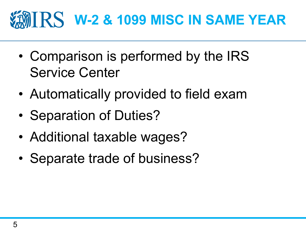### **WHIRS W-2 & 1099 MISC IN SAME YEAR**

- Comparison is performed by the IRS Service Center
- Automatically provided to field exam
- Separation of Duties?
- Additional taxable wages?
- Separate trade of business?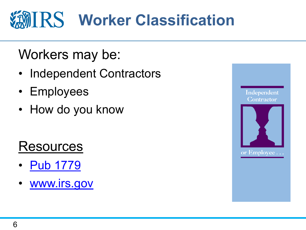# **Worker Classification**

### Workers may be:

- Independent Contractors
- Employees
- How do you know

### **Resources**

- Pub 1779
- www.irs.gov

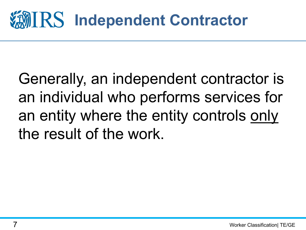### **IMIRS Independent Contractor**

Generally, an independent contractor is an individual who performs services for an entity where the entity controls only the result of the work.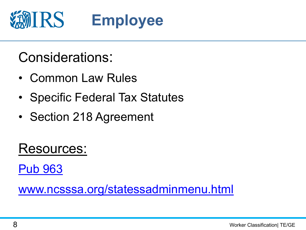

### Considerations:

- Common Law Rules
- Specific Federal Tax Statutes
- Section 218 Agreement

Resources:

Pub 963

www.ncsssa.org/statessadminmenu.html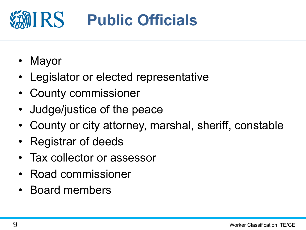

- Mayor
- Legislator or elected representative
- County commissioner
- Judge/justice of the peace
- County or city attorney, marshal, sheriff, constable
- Registrar of deeds
- Tax collector or assessor
- Road commissioner
- Board members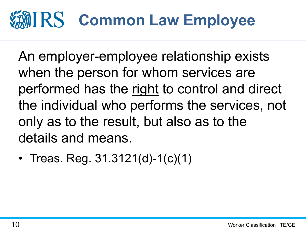### TIRS **Common Law Employee**

An employer-employee relationship exists when the person for whom services are performed has the right to control and direct the individual who performs the services, not only as to the result, but also as to the details and means.

• Treas. Reg. 31.3121(d)-1(c)(1)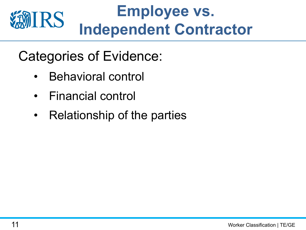

- Categories of Evidence:
	- Behavioral control
	- Financial control
	- Relationship of the parties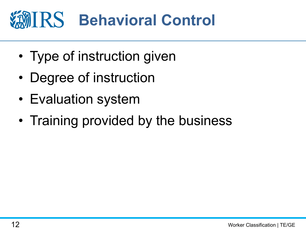# **Behavioral Control**

- Type of instruction given
- Degree of instruction
- Evaluation system
- Training provided by the business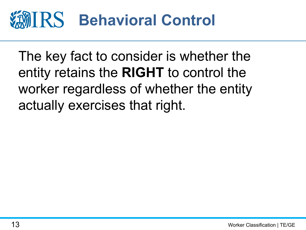#### **IRS Behavioral Control**

The key fact to consider is whether the entity retains the **RIGHT** to control the worker regardless of whether the entity actually exercises that right.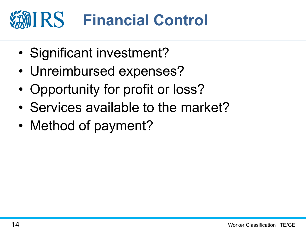### IRS **Financial Control**

- Significant investment?
- Unreimbursed expenses?
- Opportunity for profit or loss?
- Services available to the market?
- Method of payment?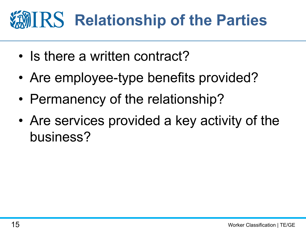# **Relationship of the Parties**

- Is there a written contract?
- Are employee-type benefits provided?
- Permanency of the relationship?
- Are services provided a key activity of the business?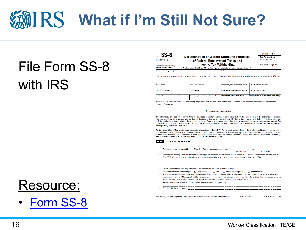## **What if I'm Still Not Sure?**

### File Form SS-8 with IRS

| $\epsilon_{\rm cm}$ SS-8                                        |                                                                                       |                                                                                               |                                                                                                 | OMB. No. 1545-0004  |                                          |  |
|-----------------------------------------------------------------|---------------------------------------------------------------------------------------|-----------------------------------------------------------------------------------------------|-------------------------------------------------------------------------------------------------|---------------------|------------------------------------------|--|
| (Rev. May 2014)                                                 | <b>Determination of Worker Status for Purposes</b><br>of Federal Employment Taxes and |                                                                                               |                                                                                                 |                     | For IRS Use Only:<br><b>Case Number:</b> |  |
| Department of the Treasury                                      | <b>Income Tax Withholding</b>                                                         |                                                                                               |                                                                                                 |                     | <b>Earliest Receipt Date:</b>            |  |
| Internal Revenue Service                                        | Information about Form SS-8 and its separate instructions is at www.irs.gov/formss8.  |                                                                                               |                                                                                                 |                     |                                          |  |
| Name of firm (or person) for whom the worker performed services |                                                                                       | Worker's name                                                                                 |                                                                                                 |                     |                                          |  |
|                                                                 |                                                                                       | Firm's mailing address (include street address, apt. or suite no., city, state, and ZIP code) | Worker's mailing address (include street address, apt. or suite no., city, state, and ZIP code) |                     |                                          |  |
|                                                                 |                                                                                       |                                                                                               |                                                                                                 |                     |                                          |  |
| Trade name                                                      |                                                                                       | Firm's email address                                                                          | Worker's daytime telephone number                                                               |                     | Worker's email address                   |  |
| Firm's fax number                                               |                                                                                       | Firm's website                                                                                | Worker's alternate telephone number                                                             | Worker's fax number |                                          |  |

#### **Disclosure of Information**

The information provided on Form SS-8 may be disclosed to the firm, worker, or payer named above to assist the IRS in the determination process. For example, if you are a worker, we may disclose the information you provide on Form SS-8 to the firm or payer named above. The information can only be disclosed to assist with the determination process. If you provide incomplete information, we may not be able to process your request. See Privacy Act and Paperwork Reduction Act Notice in the separate instructions for more information. If you do not want this information disclosed to other parties, do not file Form SS-8.

Parts I-V. All filers of Form SS-8 must complete all questions in Parts I-IV. Part V must be completed if the worker provides a service directly to customers or is a salesperson. If you cannot answer a question, enter "Unknown" or "Does not apply." If you need more space for a question, attach another sheet with the part and question number clearly identified. Write your firm's name (or worker's name) and employer identification number (or another sheet with the part and question number clearly identified. Write social security number) at the top of each additional sheet attached to this form.

#### Part | General Information

|   | This form is being completed by: Firm Worker; for services performed<br>$\mathsf{to}$<br>(ending date)<br>(beginning date)                                                                                                                                                                                                                                                                                                              |
|---|-----------------------------------------------------------------------------------------------------------------------------------------------------------------------------------------------------------------------------------------------------------------------------------------------------------------------------------------------------------------------------------------------------------------------------------------|
|   | Explain your reason(s) for filing this form (for example, you received a bill from the IRS, you believe you erroneously received a Form 1099 or<br>Form W-2, you are unable to get workers' compensation benefits, or you were audited or are being audited by the IRS).                                                                                                                                                                |
|   | Total number of workers who performed or are performing the same or similar services:<br>How did the worker obtain the iob? $\Box$ Application $\Box$ Bid $\Box$ Employment Agency $\Box$ Other (specify)                                                                                                                                                                                                                               |
| 5 | Attach copies of all supporting documentation (for example, contracts, invoices, memos, Forms W-2 or Forms 1099-MISC issued or received, IRS<br>closing agreements or IRS rulings). In addition, please inform us of any current or past litigation concerning the worker's status. If no income reporting forms<br>(Form 1099-MISC or W-2) were furnished to the worker, enter the amount of income earned for the year(s) at issue \$ |
|   | If both Form W-2 and Form 1099-MISC were issued or received, explain why.                                                                                                                                                                                                                                                                                                                                                               |
| 6 | Describe the firm's business.                                                                                                                                                                                                                                                                                                                                                                                                           |
|   |                                                                                                                                                                                                                                                                                                                                                                                                                                         |

Form SS-8 (Rev. 5-2014) For Privacy Act and Paperwork Reduction Act Notice, see the separate instructions. Cat. No. 16106T

### Resource:

• Form SS-8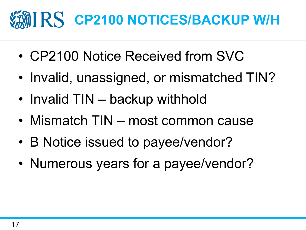# **MIRS CP2100 NOTICES/BACKUP W/H**

- CP2100 Notice Received from SVC
- Invalid, unassigned, or mismatched TIN?
- Invalid TIN backup withhold
- Mismatch TIN most common cause
- B Notice issued to payee/vendor?
- Numerous years for a payee/vendor?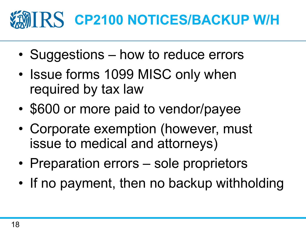# **MIRS CP2100 NOTICES/BACKUP W/H**

- Suggestions how to reduce errors
- Issue forms 1099 MISC only when required by tax law
- \$600 or more paid to vendor/payee
- Corporate exemption (however, must issue to medical and attorneys)
- Preparation errors sole proprietors
- If no payment, then no backup withholding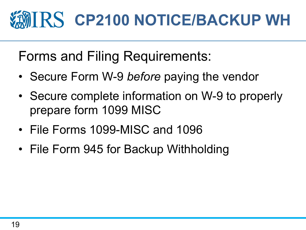# **MIRS CP2100 NOTICE/BACKUP WH**

Forms and Filing Requirements:

- Secure Form W-9 *before* paying the vendor
- Secure complete information on W-9 to properly prepare form 1099 MISC
- File Forms 1099-MISC and 1096
- File Form 945 for Backup Withholding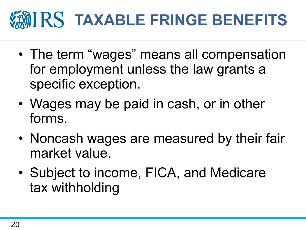# **TAXABLE FRINGE BENEFITS**

- The term "wages" means all compensation for employment unless the law grants a specific exception.
- Wages may be paid in cash, or in other forms.
- Noncash wages are measured by their fair market value.
- Subject to income, FICA, and Medicare tax withholding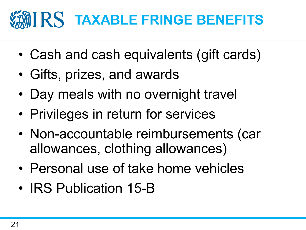### **MIRS TAXABLE FRINGE BENEFITS**

- Cash and cash equivalents (gift cards)
- Gifts, prizes, and awards
- Day meals with no overnight travel
- Privileges in return for services
- Non-accountable reimbursements (car allowances, clothing allowances)
- Personal use of take home vehicles
- IRS Publication 15-B